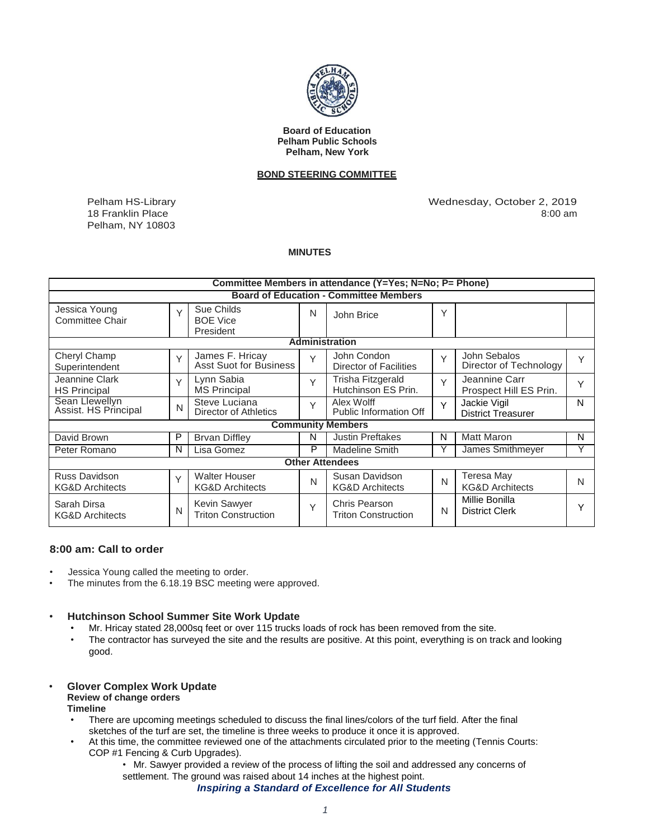

**Board of Education Pelham Public Schools Pelham, New York**

# **BOND STEERING COMMITTEE**

Pelham HS-Library 18 Franklin Place Pelham, NY 10803  Wednesday, October 2, 2019 8:00 am

#### **MINUTES**

| Committee Members in attendance (Y=Yes; N=No; P= Phone) |        |                                                    |        |                                              |              |                                           |              |
|---------------------------------------------------------|--------|----------------------------------------------------|--------|----------------------------------------------|--------------|-------------------------------------------|--------------|
| <b>Board of Education - Committee Members</b>           |        |                                                    |        |                                              |              |                                           |              |
| Jessica Young<br>Committee Chair                        | $\vee$ | Sue Childs<br><b>BOE Vice</b><br>President         | N      | John Brice                                   | Y            |                                           |              |
| <b>Administration</b>                                   |        |                                                    |        |                                              |              |                                           |              |
| Cheryl Champ<br>Superintendent                          | $\vee$ | James F. Hricay<br><b>Asst Suot for Business</b>   | $\vee$ | John Condon<br><b>Director of Facilities</b> | $\vee$       | John Sebalos<br>Director of Technology    | Υ            |
| Jeannine Clark<br><b>HS Principal</b>                   | $\vee$ | Lynn Sabia<br><b>MS Principal</b>                  | Y      | Trisha Fitzgerald<br>Hutchinson ES Prin.     | $\vee$       | Jeannine Carr<br>Prospect Hill ES Prin.   | $\checkmark$ |
| Sean Llewellyn<br>Assist. HS Principal                  | N      | Steve Luciana<br>Director of Athletics             | $\vee$ | Alex Wolff<br><b>Public Information Off</b>  | Y            | Jackie Vigil<br><b>District Treasurer</b> | N            |
| <b>Community Members</b>                                |        |                                                    |        |                                              |              |                                           |              |
| David Brown                                             | P      | <b>Brvan Diffley</b>                               | N      | <b>Justin Preftakes</b>                      | N            | <b>Matt Maron</b>                         | N            |
| Peter Romano                                            | N      | Lisa Gomez                                         | P      | <b>Madeline Smith</b>                        | Y            | James Smithmeyer                          |              |
| <b>Other Attendees</b>                                  |        |                                                    |        |                                              |              |                                           |              |
| Russ Davidson<br><b>KG&amp;D Architects</b>             | $\vee$ | <b>Walter Houser</b><br><b>KG&amp;D Architects</b> | N      | Susan Davidson<br><b>KG&amp;D Architects</b> | $\mathsf{N}$ | Teresa May<br><b>KG&amp;D Architects</b>  | N            |
| Sarah Dirsa<br><b>KG&amp;D Architects</b>               | N      | Kevin Sawyer<br><b>Triton Construction</b>         | Y      | Chris Pearson<br><b>Triton Construction</b>  | N            | Millie Bonilla<br><b>District Clerk</b>   |              |

# **8:00 am: Call to order**

- Jessica Young called the meeting to order.
- The minutes from the 6.18.19 BSC meeting were approved.

### • **Hutchinson School Summer Site Work Update**

- Mr. Hricay stated 28,000sq feet or over 115 trucks loads of rock has been removed from the site.
- The contractor has surveyed the site and the results are positive. At this point, everything is on track and looking good.

### • **Glover Complex Work Update Review of change orders Timeline**

- There are upcoming meetings scheduled to discuss the final lines/colors of the turf field. After the final sketches of the turf are set, the timeline is three weeks to produce it once it is approved.
- At this time, the committee reviewed one of the attachments circulated prior to the meeting (Tennis Courts: COP #1 Fencing & Curb Upgrades).
	- Mr. Sawyer provided a review of the process of lifting the soil and addressed any concerns of settlement. The ground was raised about 14 inches at the highest point.

*Inspiring a Standard of Excellence for All Students*